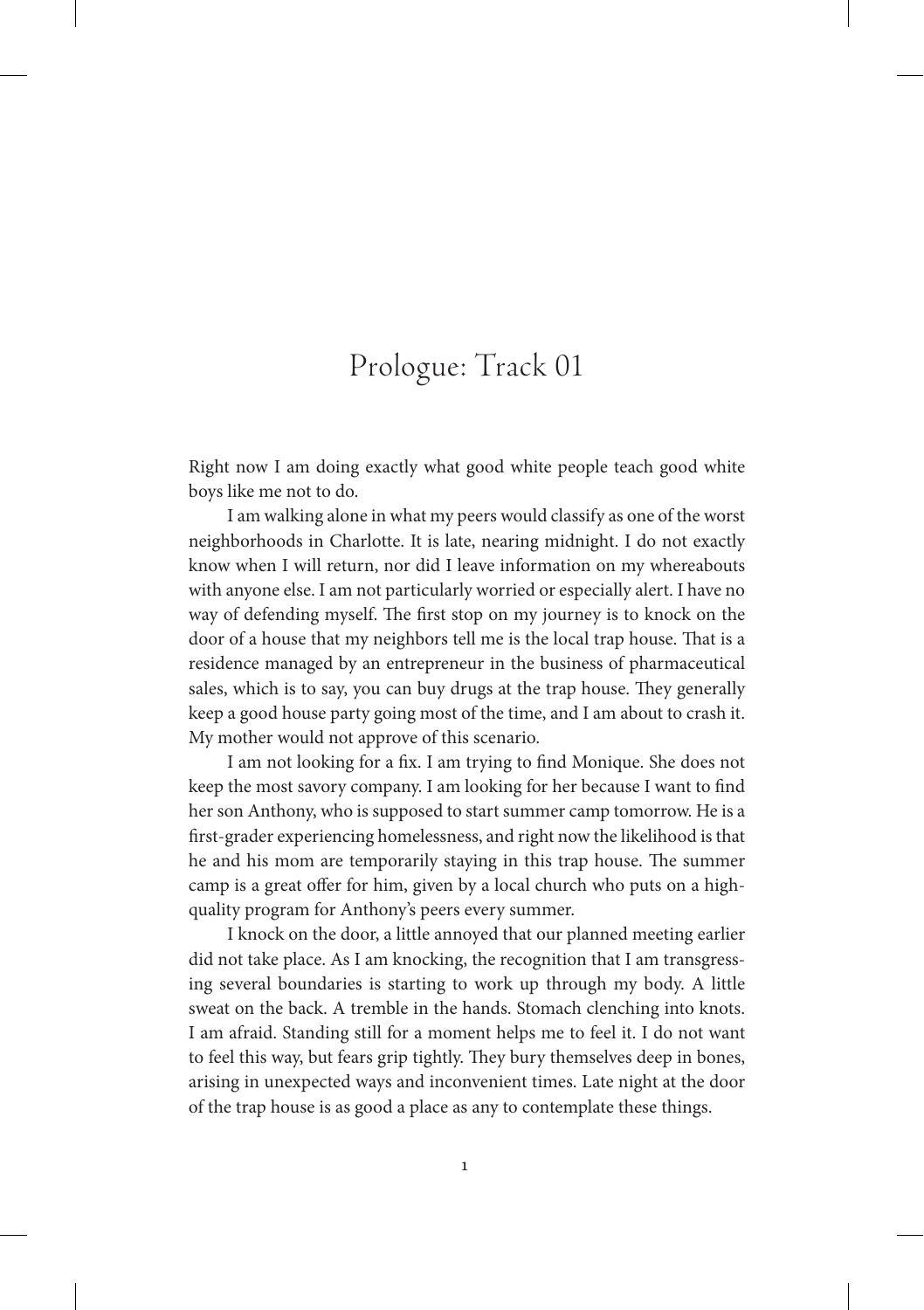## Prologue: Track 01

Right now I am doing exactly what good white people teach good white boys like me not to do.

I am walking alone in what my peers would classify as one of the worst neighborhoods in Charlotte. It is late, nearing midnight. I do not exactly know when I will return, nor did I leave information on my whereabouts with anyone else. I am not particularly worried or especially alert. I have no way of defending myself. The first stop on my journey is to knock on the door of a house that my neighbors tell me is the local trap house. That is a residence managed by an entrepreneur in the business of pharmaceutical sales, which is to say, you can buy drugs at the trap house. They generally keep a good house party going most of the time, and I am about to crash it. My mother would not approve of this scenario.

I am not looking for a fix. I am trying to find Monique. She does not keep the most savory company. I am looking for her because I want to find her son Anthony, who is supposed to start summer camp tomorrow. He is a first-grader experiencing homelessness, and right now the likelihood is that he and his mom are temporarily staying in this trap house. The summer camp is a great offer for him, given by a local church who puts on a highquality program for Anthony's peers every summer.

I knock on the door, a little annoyed that our planned meeting earlier did not take place. As I am knocking, the recognition that I am transgressing several boundaries is starting to work up through my body. A little sweat on the back. A tremble in the hands. Stomach clenching into knots. I am afraid. Standing still for a moment helps me to feel it. I do not want to feel this way, but fears grip tightly. They bury themselves deep in bones, arising in unexpected ways and inconvenient times. Late night at the door of the trap house is as good a place as any to contemplate these things.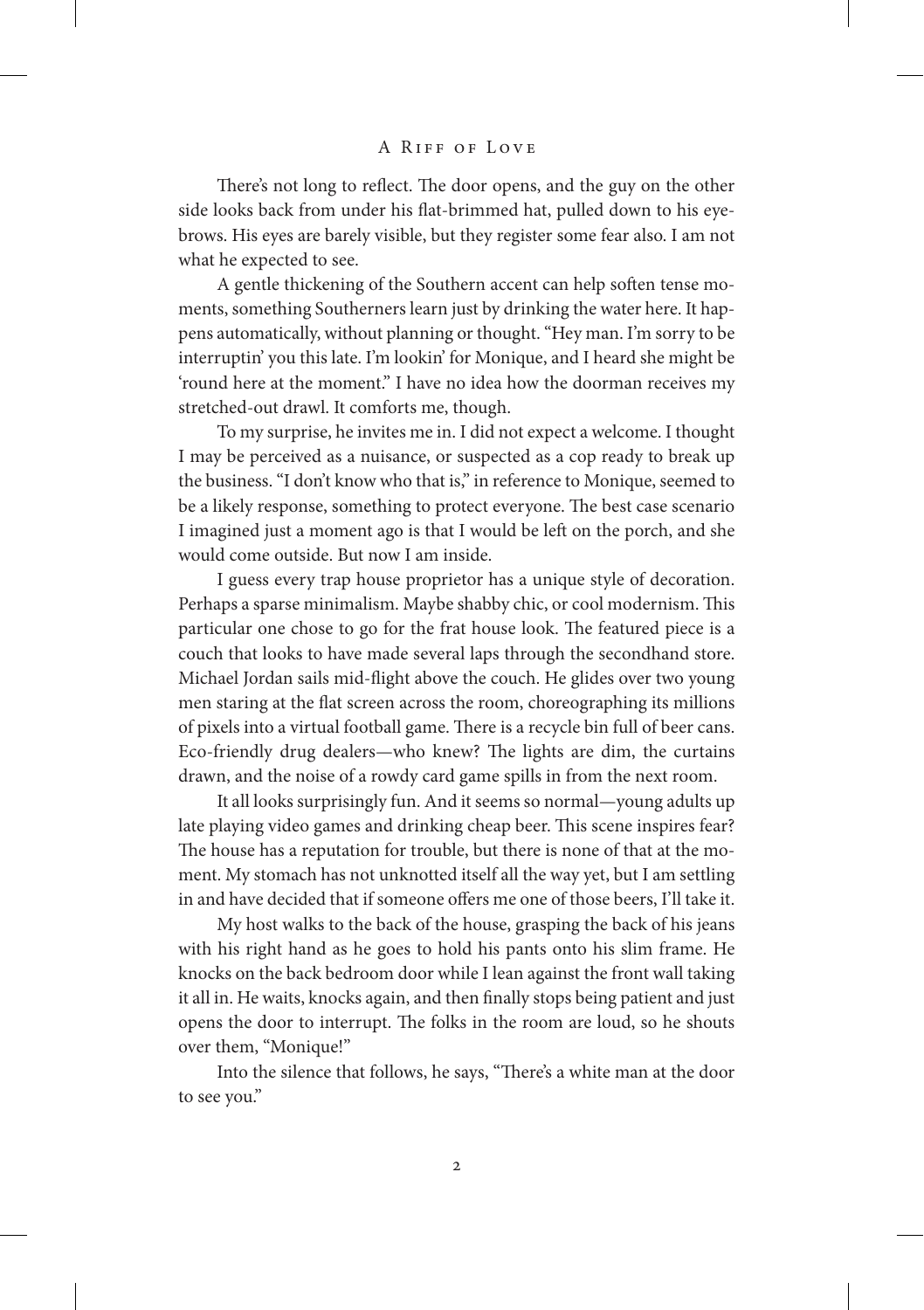There's not long to reflect. The door opens, and the guy on the other side looks back from under his flat-brimmed hat, pulled down to his eyebrows. His eyes are barely visible, but they register some fear also. I am not what he expected to see.

A gentle thickening of the Southern accent can help soften tense moments, something Southerners learn just by drinking the water here. It happens automatically, without planning or thought. "Hey man. I'm sorry to be interruptin' you this late. I'm lookin' for Monique, and I heard she might be 'round here at the moment." I have no idea how the doorman receives my stretched-out drawl. It comforts me, though.

To my surprise, he invites me in. I did not expect a welcome. I thought I may be perceived as a nuisance, or suspected as a cop ready to break up the business. "I don't know who that is," in reference to Monique, seemed to be a likely response, something to protect everyone. The best case scenario I imagined just a moment ago is that I would be left on the porch, and she would come outside. But now I am inside.

I guess every trap house proprietor has a unique style of decoration. Perhaps a sparse minimalism. Maybe shabby chic, or cool modernism. This particular one chose to go for the frat house look. The featured piece is a couch that looks to have made several laps through the secondhand store. Michael Jordan sails mid-flight above the couch. He glides over two young men staring at the flat screen across the room, choreographing its millions of pixels into a virtual football game. There is a recycle bin full of beer cans. Eco-friendly drug dealers—who knew? The lights are dim, the curtains drawn, and the noise of a rowdy card game spills in from the next room.

It all looks surprisingly fun. And it seems so normal—young adults up late playing video games and drinking cheap beer. This scene inspires fear? The house has a reputation for trouble, but there is none of that at the moment. My stomach has not unknotted itself all the way yet, but I am settling in and have decided that if someone offers me one of those beers, I'll take it.

My host walks to the back of the house, grasping the back of his jeans with his right hand as he goes to hold his pants onto his slim frame. He knocks on the back bedroom door while I lean against the front wall taking it all in. He waits, knocks again, and then finally stops being patient and just opens the door to interrupt. The folks in the room are loud, so he shouts over them, "Monique!"

Into the silence that follows, he says, "There's a white man at the door to see you."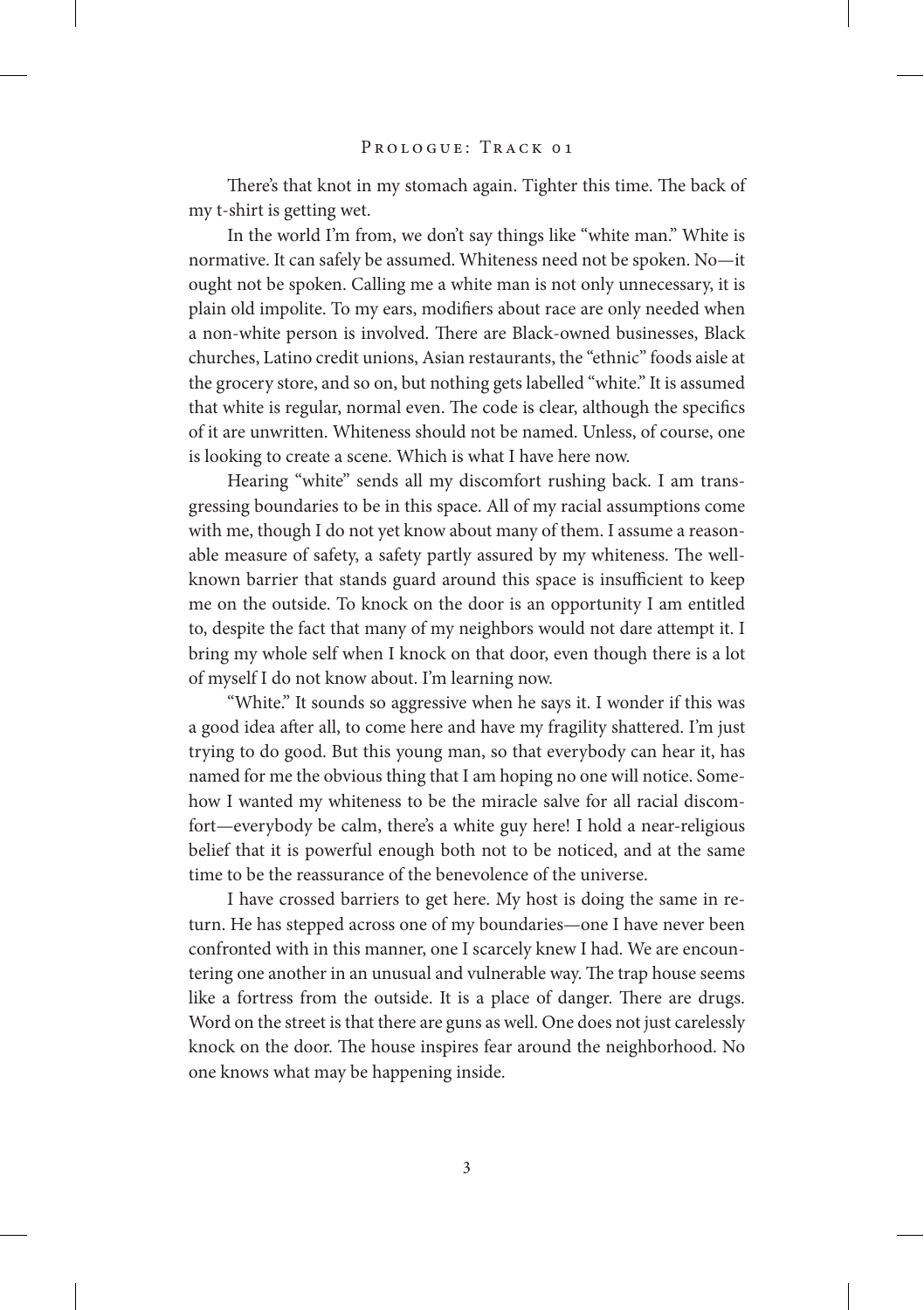#### PROLOGUE: TRACK 01

There's that knot in my stomach again. Tighter this time. The back of my t-shirt is getting wet.

In the world I'm from, we don't say things like "white man." White is normative. It can safely be assumed. Whiteness need not be spoken. No—it ought not be spoken. Calling me a white man is not only unnecessary, it is plain old impolite. To my ears, modifiers about race are only needed when a non-white person is involved. There are Black-owned businesses, Black churches, Latino credit unions, Asian restaurants, the "ethnic" foods aisle at the grocery store, and so on, but nothing gets labelled "white." It is assumed that white is regular, normal even. The code is clear, although the specifics of it are unwritten. Whiteness should not be named. Unless, of course, one is looking to create a scene. Which is what I have here now.

Hearing "white" sends all my discomfort rushing back. I am transgressing boundaries to be in this space. All of my racial assumptions come with me, though I do not yet know about many of them. I assume a reasonable measure of safety, a safety partly assured by my whiteness. The wellknown barrier that stands guard around this space is insufficient to keep me on the outside. To knock on the door is an opportunity I am entitled to, despite the fact that many of my neighbors would not dare attempt it. I bring my whole self when I knock on that door, even though there is a lot of myself I do not know about. I'm learning now.

"White." It sounds so aggressive when he says it. I wonder if this was a good idea after all, to come here and have my fragility shattered. I'm just trying to do good. But this young man, so that everybody can hear it, has named for me the obvious thing that I am hoping no one will notice. Somehow I wanted my whiteness to be the miracle salve for all racial discomfort—everybody be calm, there's a white guy here! I hold a near-religious belief that it is powerful enough both not to be noticed, and at the same time to be the reassurance of the benevolence of the universe.

I have crossed barriers to get here. My host is doing the same in return. He has stepped across one of my boundaries—one I have never been confronted with in this manner, one I scarcely knew I had. We are encountering one another in an unusual and vulnerable way. The trap house seems like a fortress from the outside. It is a place of danger. There are drugs. Word on the street is that there are guns as well. One does not just carelessly knock on the door. The house inspires fear around the neighborhood. No one knows what may be happening inside.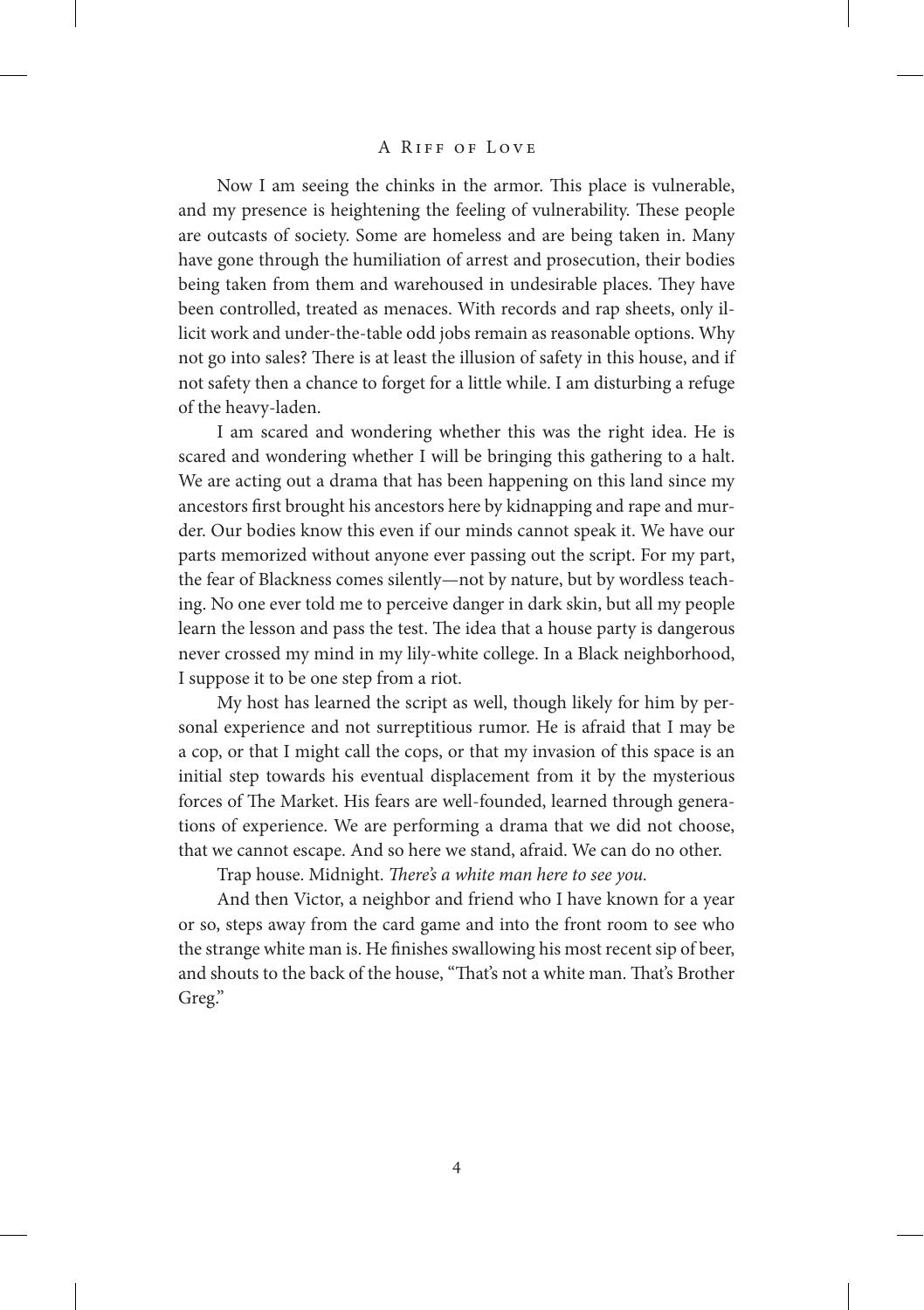Now I am seeing the chinks in the armor. This place is vulnerable, and my presence is heightening the feeling of vulnerability. These people are outcasts of society. Some are homeless and are being taken in. Many have gone through the humiliation of arrest and prosecution, their bodies being taken from them and warehoused in undesirable places. They have been controlled, treated as menaces. With records and rap sheets, only illicit work and under-the-table odd jobs remain as reasonable options. Why not go into sales? There is at least the illusion of safety in this house, and if not safety then a chance to forget for a little while. I am disturbing a refuge of the heavy-laden.

I am scared and wondering whether this was the right idea. He is scared and wondering whether I will be bringing this gathering to a halt. We are acting out a drama that has been happening on this land since my ancestors first brought his ancestors here by kidnapping and rape and murder. Our bodies know this even if our minds cannot speak it. We have our parts memorized without anyone ever passing out the script. For my part, the fear of Blackness comes silently—not by nature, but by wordless teaching. No one ever told me to perceive danger in dark skin, but all my people learn the lesson and pass the test. The idea that a house party is dangerous never crossed my mind in my lily-white college. In a Black neighborhood, I suppose it to be one step from a riot.

My host has learned the script as well, though likely for him by personal experience and not surreptitious rumor. He is afraid that I may be a cop, or that I might call the cops, or that my invasion of this space is an initial step towards his eventual displacement from it by the mysterious forces of The Market. His fears are well-founded, learned through generations of experience. We are performing a drama that we did not choose, that we cannot escape. And so here we stand, afraid. We can do no other.

Trap house. Midnight. *There's a white man here to see you.*

And then Victor, a neighbor and friend who I have known for a year or so, steps away from the card game and into the front room to see who the strange white man is. He finishes swallowing his most recent sip of beer, and shouts to the back of the house, "That's not a white man. That's Brother Greg."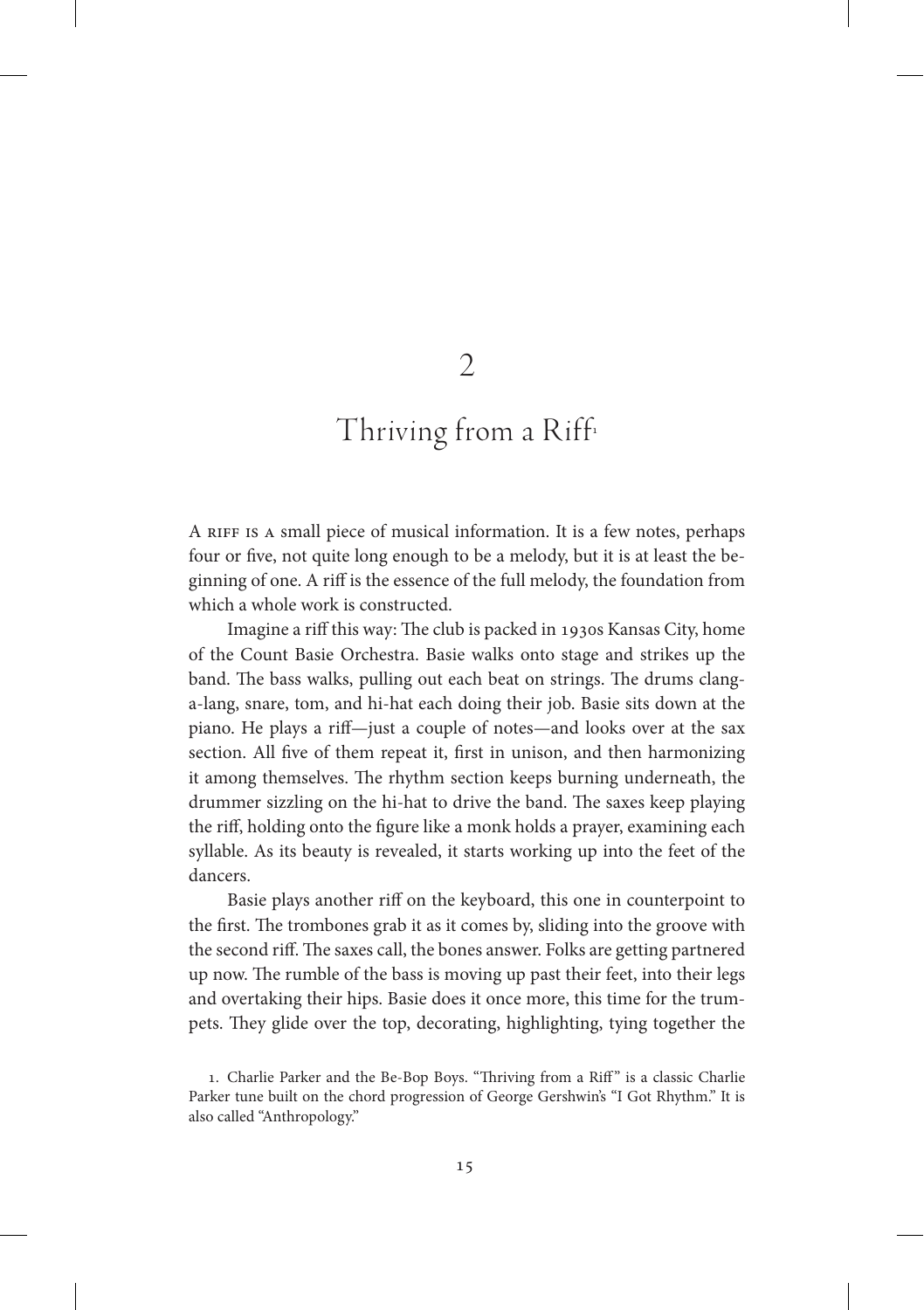### 2

# Thriving from a Riff<sup>1</sup>

A RIFF IS A small piece of musical information. It is a few notes, perhaps four or five, not quite long enough to be a melody, but it is at least the beginning of one. A riff is the essence of the full melody, the foundation from which a whole work is constructed.

Imagine a riff this way: The club is packed in 1930s Kansas City, home of the Count Basie Orchestra. Basie walks onto stage and strikes up the band. The bass walks, pulling out each beat on strings. The drums clanga-lang, snare, tom, and hi-hat each doing their job. Basie sits down at the piano. He plays a riff—just a couple of notes—and looks over at the sax section. All five of them repeat it, first in unison, and then harmonizing it among themselves. The rhythm section keeps burning underneath, the drummer sizzling on the hi-hat to drive the band. The saxes keep playing the riff, holding onto the figure like a monk holds a prayer, examining each syllable. As its beauty is revealed, it starts working up into the feet of the dancers.

Basie plays another riff on the keyboard, this one in counterpoint to the first. The trombones grab it as it comes by, sliding into the groove with the second riff. The saxes call, the bones answer. Folks are getting partnered up now. The rumble of the bass is moving up past their feet, into their legs and overtaking their hips. Basie does it once more, this time for the trumpets. They glide over the top, decorating, highlighting, tying together the

<sup>1.</sup> Charlie Parker and the Be-Bop Boys. "Thriving from a Riff" is a classic Charlie Parker tune built on the chord progression of George Gershwin's "I Got Rhythm." It is also called "Anthropology."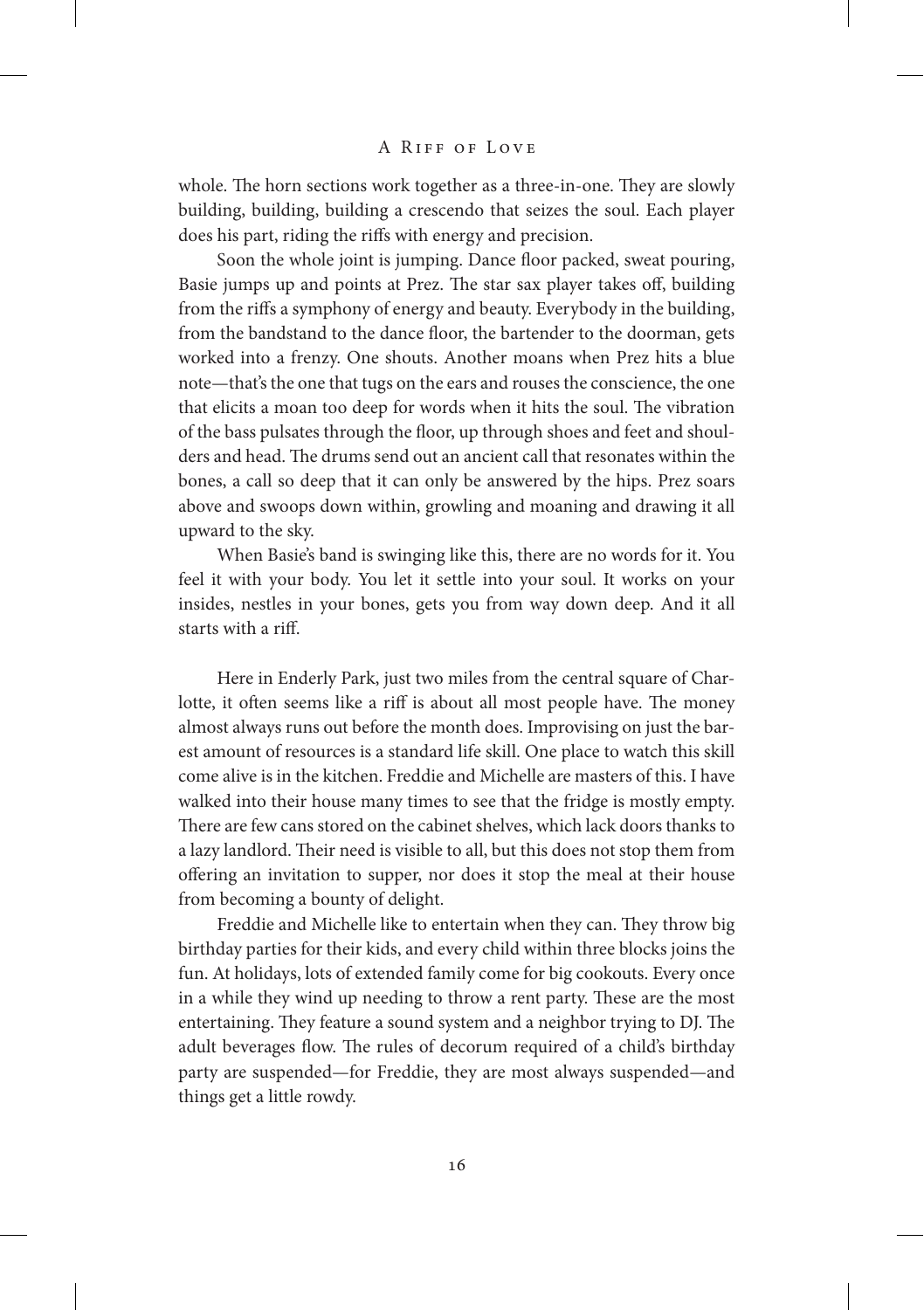whole. The horn sections work together as a three-in-one. They are slowly building, building, building a crescendo that seizes the soul. Each player does his part, riding the riffs with energy and precision.

Soon the whole joint is jumping. Dance floor packed, sweat pouring, Basie jumps up and points at Prez. The star sax player takes off, building from the riffs a symphony of energy and beauty. Everybody in the building, from the bandstand to the dance floor, the bartender to the doorman, gets worked into a frenzy. One shouts. Another moans when Prez hits a blue note—that's the one that tugs on the ears and rouses the conscience, the one that elicits a moan too deep for words when it hits the soul. The vibration of the bass pulsates through the floor, up through shoes and feet and shoulders and head. The drums send out an ancient call that resonates within the bones, a call so deep that it can only be answered by the hips. Prez soars above and swoops down within, growling and moaning and drawing it all upward to the sky.

When Basie's band is swinging like this, there are no words for it. You feel it with your body. You let it settle into your soul. It works on your insides, nestles in your bones, gets you from way down deep. And it all starts with a riff.

Here in Enderly Park, just two miles from the central square of Charlotte, it often seems like a riff is about all most people have. The money almost always runs out before the month does. Improvising on just the barest amount of resources is a standard life skill. One place to watch this skill come alive is in the kitchen. Freddie and Michelle are masters of this. I have walked into their house many times to see that the fridge is mostly empty. There are few cans stored on the cabinet shelves, which lack doors thanks to a lazy landlord. Their need is visible to all, but this does not stop them from offering an invitation to supper, nor does it stop the meal at their house from becoming a bounty of delight.

Freddie and Michelle like to entertain when they can. They throw big birthday parties for their kids, and every child within three blocks joins the fun. At holidays, lots of extended family come for big cookouts. Every once in a while they wind up needing to throw a rent party. These are the most entertaining. They feature a sound system and a neighbor trying to DJ. The adult beverages flow. The rules of decorum required of a child's birthday party are suspended—for Freddie, they are most always suspended—and things get a little rowdy.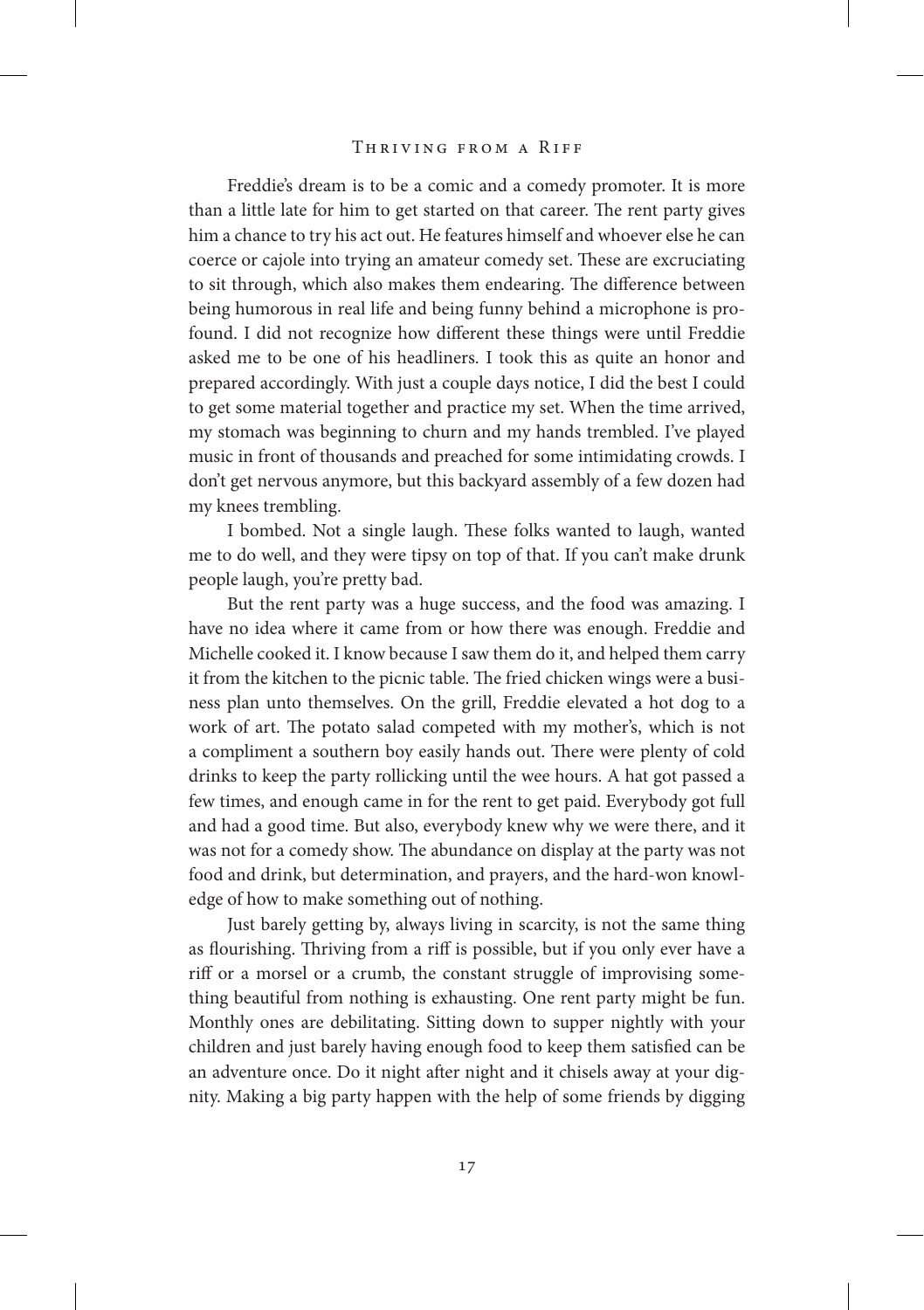Freddie's dream is to be a comic and a comedy promoter. It is more than a little late for him to get started on that career. The rent party gives him a chance to try his act out. He features himself and whoever else he can coerce or cajole into trying an amateur comedy set. These are excruciating to sit through, which also makes them endearing. The difference between being humorous in real life and being funny behind a microphone is profound. I did not recognize how different these things were until Freddie asked me to be one of his headliners. I took this as quite an honor and prepared accordingly. With just a couple days notice, I did the best I could to get some material together and practice my set. When the time arrived, my stomach was beginning to churn and my hands trembled. I've played music in front of thousands and preached for some intimidating crowds. I don't get nervous anymore, but this backyard assembly of a few dozen had my knees trembling.

I bombed. Not a single laugh. These folks wanted to laugh, wanted me to do well, and they were tipsy on top of that. If you can't make drunk people laugh, you're pretty bad.

But the rent party was a huge success, and the food was amazing. I have no idea where it came from or how there was enough. Freddie and Michelle cooked it. I know because I saw them do it, and helped them carry it from the kitchen to the picnic table. The fried chicken wings were a business plan unto themselves. On the grill, Freddie elevated a hot dog to a work of art. The potato salad competed with my mother's, which is not a compliment a southern boy easily hands out. There were plenty of cold drinks to keep the party rollicking until the wee hours. A hat got passed a few times, and enough came in for the rent to get paid. Everybody got full and had a good time. But also, everybody knew why we were there, and it was not for a comedy show. The abundance on display at the party was not food and drink, but determination, and prayers, and the hard-won knowledge of how to make something out of nothing.

Just barely getting by, always living in scarcity, is not the same thing as flourishing. Thriving from a riff is possible, but if you only ever have a riff or a morsel or a crumb, the constant struggle of improvising something beautiful from nothing is exhausting. One rent party might be fun. Monthly ones are debilitating. Sitting down to supper nightly with your children and just barely having enough food to keep them satisfied can be an adventure once. Do it night after night and it chisels away at your dignity. Making a big party happen with the help of some friends by digging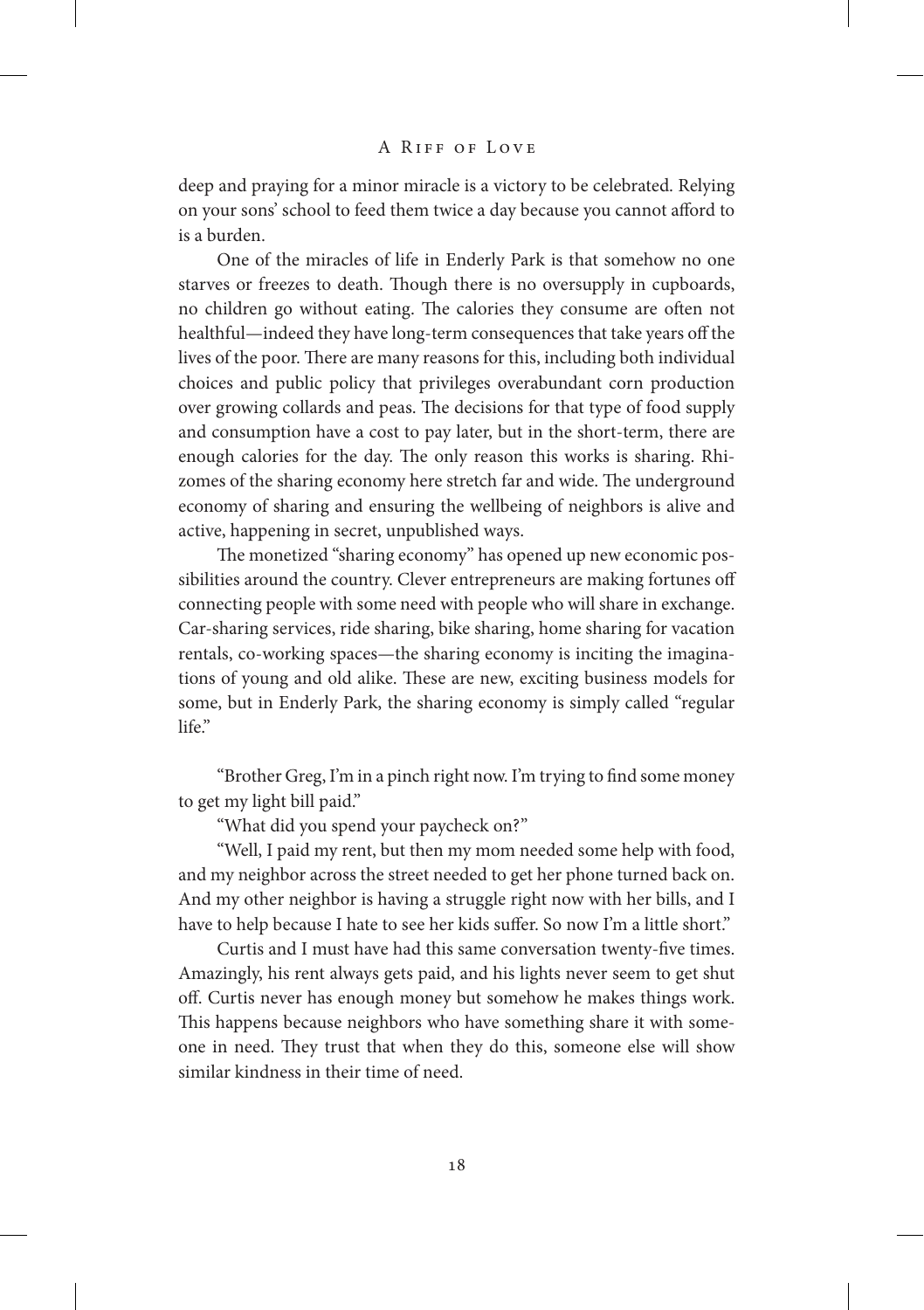deep and praying for a minor miracle is a victory to be celebrated. Relying on your sons' school to feed them twice a day because you cannot afford to is a burden.

One of the miracles of life in Enderly Park is that somehow no one starves or freezes to death. Though there is no oversupply in cupboards, no children go without eating. The calories they consume are often not healthful—indeed they have long-term consequences that take years off the lives of the poor. There are many reasons for this, including both individual choices and public policy that privileges overabundant corn production over growing collards and peas. The decisions for that type of food supply and consumption have a cost to pay later, but in the short-term, there are enough calories for the day. The only reason this works is sharing. Rhizomes of the sharing economy here stretch far and wide. The underground economy of sharing and ensuring the wellbeing of neighbors is alive and active, happening in secret, unpublished ways.

The monetized "sharing economy" has opened up new economic possibilities around the country. Clever entrepreneurs are making fortunes off connecting people with some need with people who will share in exchange. Car-sharing services, ride sharing, bike sharing, home sharing for vacation rentals, co-working spaces—the sharing economy is inciting the imaginations of young and old alike. These are new, exciting business models for some, but in Enderly Park, the sharing economy is simply called "regular life"

"Brother Greg, I'm in a pinch right now. I'm trying to find some money to get my light bill paid."

"What did you spend your paycheck on?"

"Well, I paid my rent, but then my mom needed some help with food, and my neighbor across the street needed to get her phone turned back on. And my other neighbor is having a struggle right now with her bills, and I have to help because I hate to see her kids suffer. So now I'm a little short."

Curtis and I must have had this same conversation twenty-five times. Amazingly, his rent always gets paid, and his lights never seem to get shut off. Curtis never has enough money but somehow he makes things work. This happens because neighbors who have something share it with someone in need. They trust that when they do this, someone else will show similar kindness in their time of need.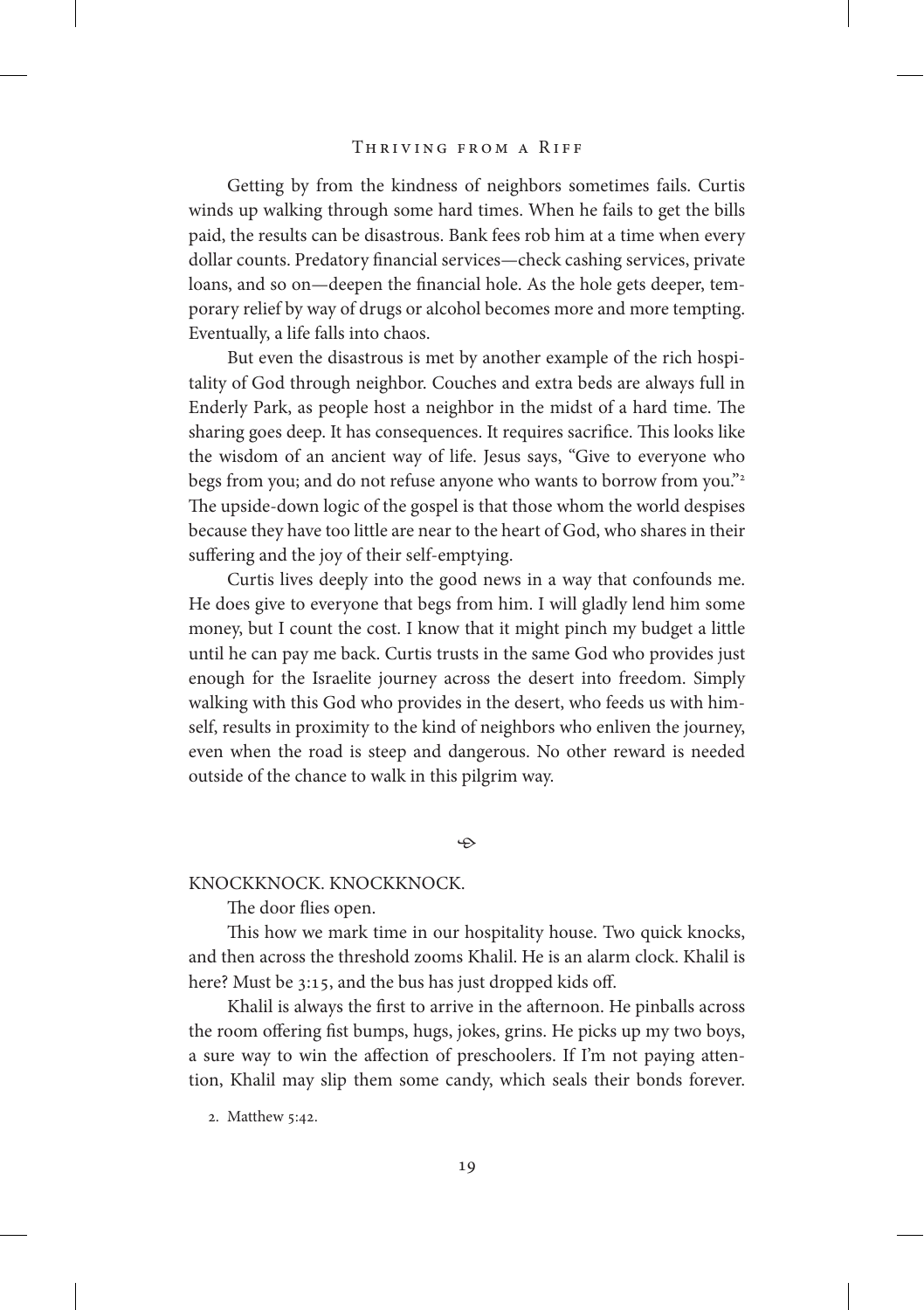Getting by from the kindness of neighbors sometimes fails. Curtis winds up walking through some hard times. When he fails to get the bills paid, the results can be disastrous. Bank fees rob him at a time when every dollar counts. Predatory financial services—check cashing services, private loans, and so on—deepen the financial hole. As the hole gets deeper, temporary relief by way of drugs or alcohol becomes more and more tempting. Eventually, a life falls into chaos.

But even the disastrous is met by another example of the rich hospitality of God through neighbor. Couches and extra beds are always full in Enderly Park, as people host a neighbor in the midst of a hard time. The sharing goes deep. It has consequences. It requires sacrifice. This looks like the wisdom of an ancient way of life. Jesus says, "Give to everyone who begs from you; and do not refuse anyone who wants to borrow from you."<sup>2</sup> The upside-down logic of the gospel is that those whom the world despises because they have too little are near to the heart of God, who shares in their suffering and the joy of their self-emptying.

Curtis lives deeply into the good news in a way that confounds me. He does give to everyone that begs from him. I will gladly lend him some money, but I count the cost. I know that it might pinch my budget a little until he can pay me back. Curtis trusts in the same God who provides just enough for the Israelite journey across the desert into freedom. Simply walking with this God who provides in the desert, who feeds us with himself, results in proximity to the kind of neighbors who enliven the journey, even when the road is steep and dangerous. No other reward is needed outside of the chance to walk in this pilgrim way.

•

#### KNOCKKNOCK. KNOCKKNOCK.

The door flies open.

This how we mark time in our hospitality house. Two quick knocks, and then across the threshold zooms Khalil. He is an alarm clock. Khalil is here? Must be 3:15, and the bus has just dropped kids off.

Khalil is always the first to arrive in the afternoon. He pinballs across the room offering fist bumps, hugs, jokes, grins. He picks up my two boys, a sure way to win the affection of preschoolers. If I'm not paying attention, Khalil may slip them some candy, which seals their bonds forever.

2. Matthew 5:42.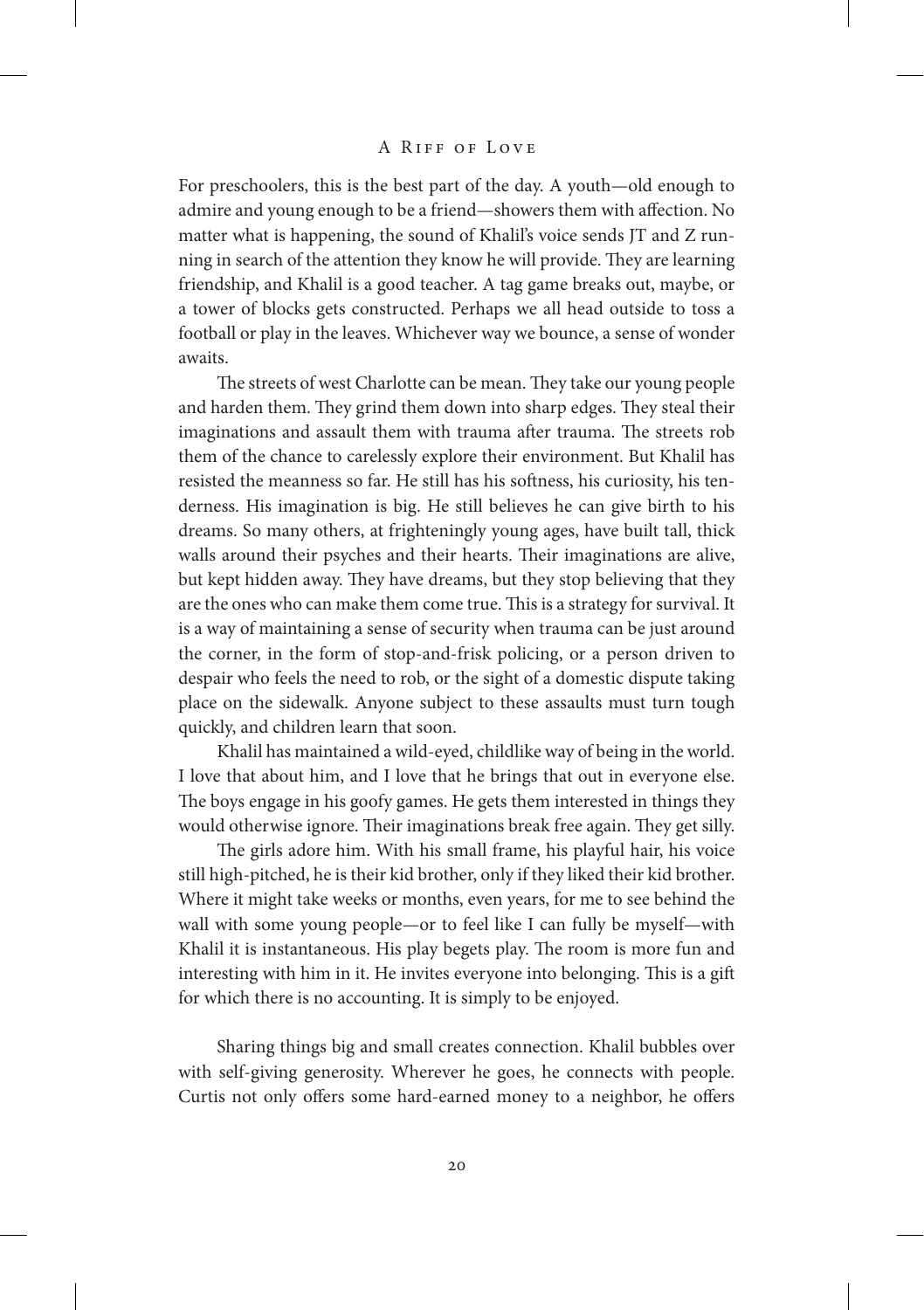For preschoolers, this is the best part of the day. A youth—old enough to admire and young enough to be a friend—showers them with affection. No matter what is happening, the sound of Khalil's voice sends JT and Z running in search of the attention they know he will provide. They are learning friendship, and Khalil is a good teacher. A tag game breaks out, maybe, or a tower of blocks gets constructed. Perhaps we all head outside to toss a football or play in the leaves. Whichever way we bounce, a sense of wonder awaits.

The streets of west Charlotte can be mean. They take our young people and harden them. They grind them down into sharp edges. They steal their imaginations and assault them with trauma after trauma. The streets rob them of the chance to carelessly explore their environment. But Khalil has resisted the meanness so far. He still has his softness, his curiosity, his tenderness. His imagination is big. He still believes he can give birth to his dreams. So many others, at frighteningly young ages, have built tall, thick walls around their psyches and their hearts. Their imaginations are alive, but kept hidden away. They have dreams, but they stop believing that they are the ones who can make them come true. This is a strategy for survival. It is a way of maintaining a sense of security when trauma can be just around the corner, in the form of stop-and-frisk policing, or a person driven to despair who feels the need to rob, or the sight of a domestic dispute taking place on the sidewalk. Anyone subject to these assaults must turn tough quickly, and children learn that soon.

Khalil has maintained a wild-eyed, childlike way of being in the world. I love that about him, and I love that he brings that out in everyone else. The boys engage in his goofy games. He gets them interested in things they would otherwise ignore. Their imaginations break free again. They get silly.

The girls adore him. With his small frame, his playful hair, his voice still high-pitched, he is their kid brother, only if they liked their kid brother. Where it might take weeks or months, even years, for me to see behind the wall with some young people—or to feel like I can fully be myself—with Khalil it is instantaneous. His play begets play. The room is more fun and interesting with him in it. He invites everyone into belonging. This is a gift for which there is no accounting. It is simply to be enjoyed.

Sharing things big and small creates connection. Khalil bubbles over with self-giving generosity. Wherever he goes, he connects with people. Curtis not only offers some hard-earned money to a neighbor, he offers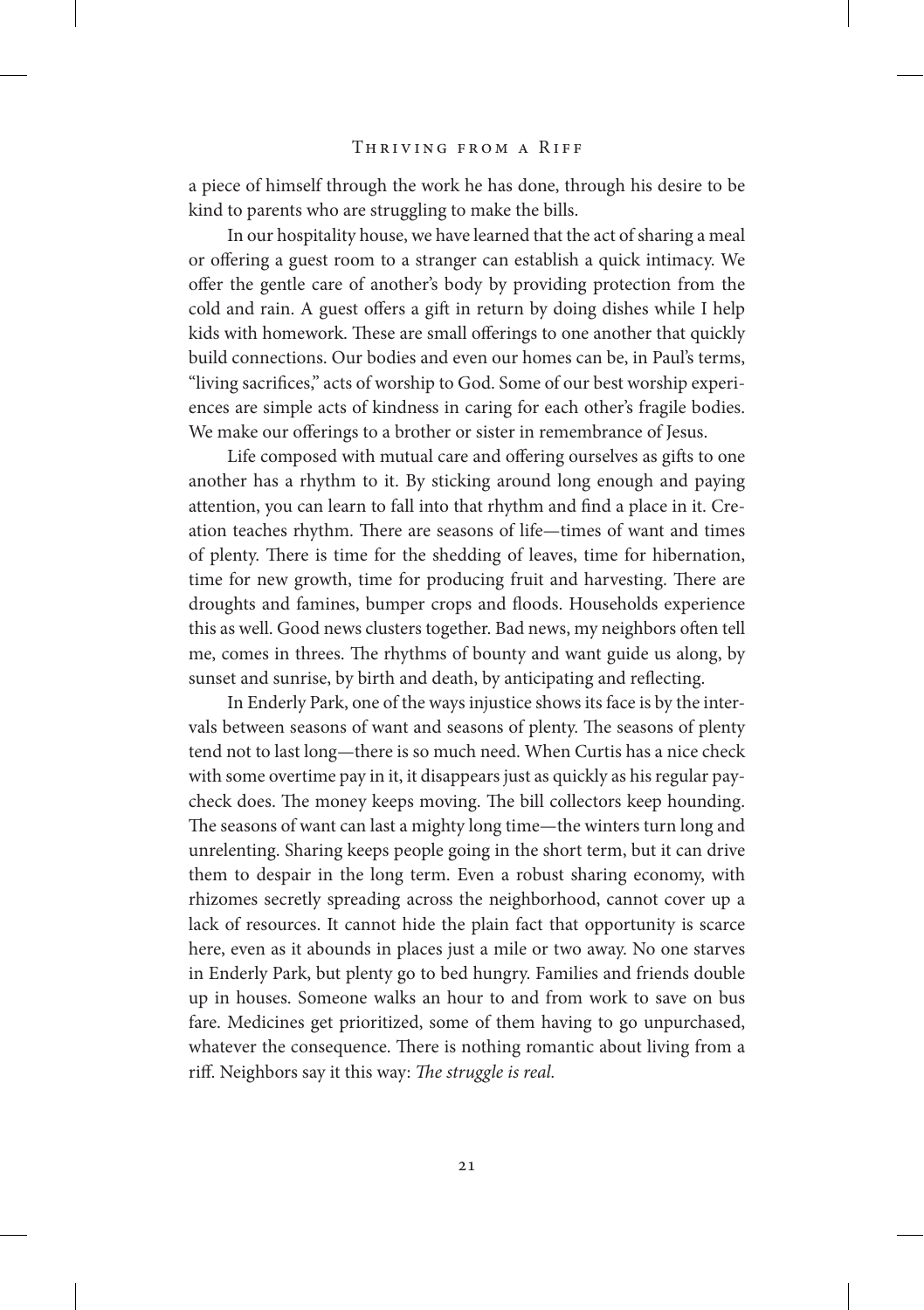a piece of himself through the work he has done, through his desire to be kind to parents who are struggling to make the bills.

In our hospitality house, we have learned that the act of sharing a meal or offering a guest room to a stranger can establish a quick intimacy. We offer the gentle care of another's body by providing protection from the cold and rain. A guest offers a gift in return by doing dishes while I help kids with homework. These are small offerings to one another that quickly build connections. Our bodies and even our homes can be, in Paul's terms, "living sacrifices," acts of worship to God. Some of our best worship experiences are simple acts of kindness in caring for each other's fragile bodies. We make our offerings to a brother or sister in remembrance of Jesus.

Life composed with mutual care and offering ourselves as gifts to one another has a rhythm to it. By sticking around long enough and paying attention, you can learn to fall into that rhythm and find a place in it. Creation teaches rhythm. There are seasons of life—times of want and times of plenty. There is time for the shedding of leaves, time for hibernation, time for new growth, time for producing fruit and harvesting. There are droughts and famines, bumper crops and floods. Households experience this as well. Good news clusters together. Bad news, my neighbors often tell me, comes in threes. The rhythms of bounty and want guide us along, by sunset and sunrise, by birth and death, by anticipating and reflecting.

In Enderly Park, one of the ways injustice shows its face is by the intervals between seasons of want and seasons of plenty. The seasons of plenty tend not to last long—there is so much need. When Curtis has a nice check with some overtime pay in it, it disappears just as quickly as his regular paycheck does. The money keeps moving. The bill collectors keep hounding. The seasons of want can last a mighty long time—the winters turn long and unrelenting. Sharing keeps people going in the short term, but it can drive them to despair in the long term. Even a robust sharing economy, with rhizomes secretly spreading across the neighborhood, cannot cover up a lack of resources. It cannot hide the plain fact that opportunity is scarce here, even as it abounds in places just a mile or two away. No one starves in Enderly Park, but plenty go to bed hungry. Families and friends double up in houses. Someone walks an hour to and from work to save on bus fare. Medicines get prioritized, some of them having to go unpurchased, whatever the consequence. There is nothing romantic about living from a riff. Neighbors say it this way: *The struggle is real.*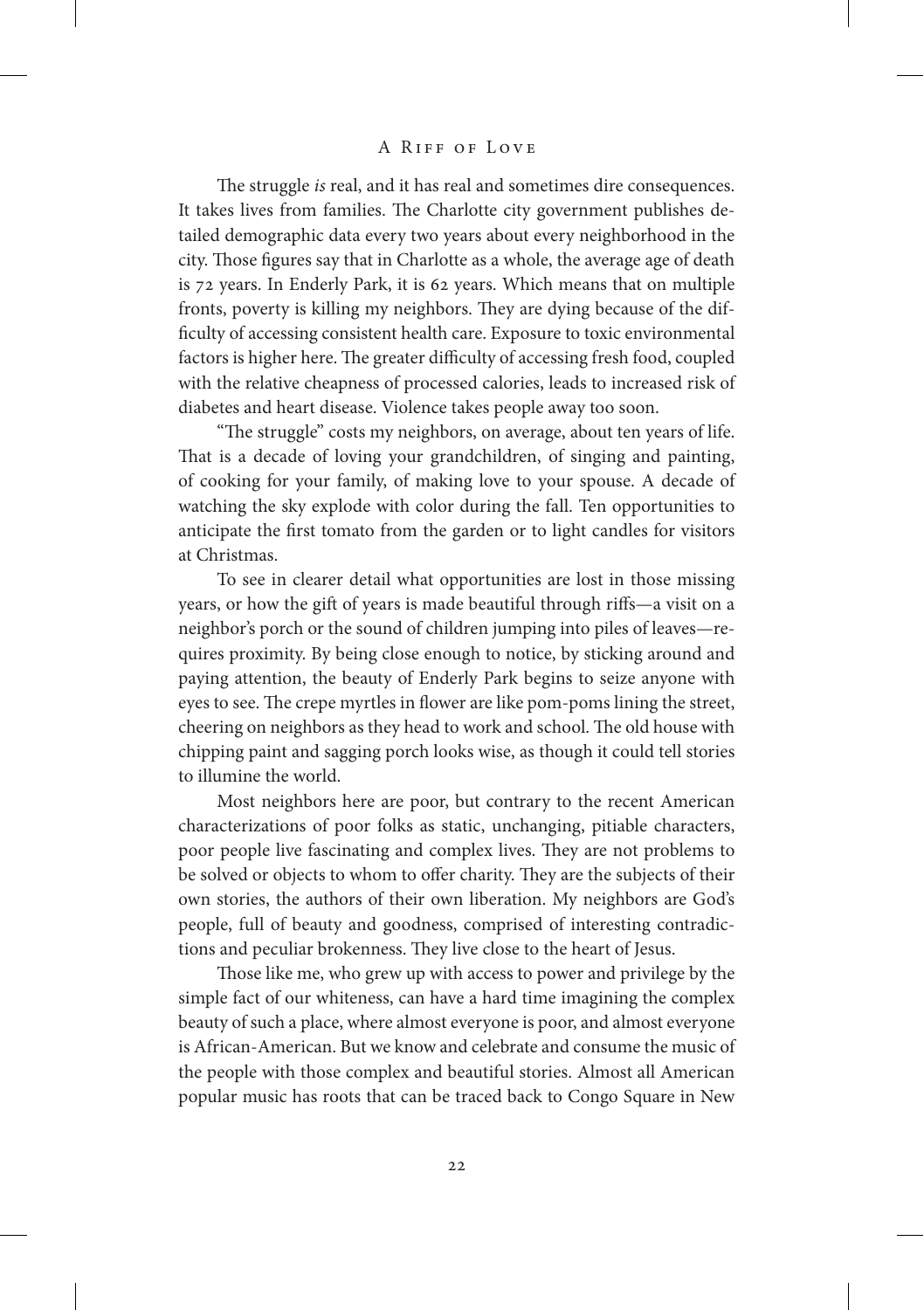The struggle *is* real, and it has real and sometimes dire consequences. It takes lives from families. The Charlotte city government publishes detailed demographic data every two years about every neighborhood in the city. Those figures say that in Charlotte as a whole, the average age of death is 72 years. In Enderly Park, it is 62 years. Which means that on multiple fronts, poverty is killing my neighbors. They are dying because of the difficulty of accessing consistent health care. Exposure to toxic environmental factors is higher here. The greater difficulty of accessing fresh food, coupled with the relative cheapness of processed calories, leads to increased risk of diabetes and heart disease. Violence takes people away too soon.

"The struggle" costs my neighbors, on average, about ten years of life. That is a decade of loving your grandchildren, of singing and painting, of cooking for your family, of making love to your spouse. A decade of watching the sky explode with color during the fall. Ten opportunities to anticipate the first tomato from the garden or to light candles for visitors at Christmas.

To see in clearer detail what opportunities are lost in those missing years, or how the gift of years is made beautiful through riffs—a visit on a neighbor's porch or the sound of children jumping into piles of leaves—requires proximity. By being close enough to notice, by sticking around and paying attention, the beauty of Enderly Park begins to seize anyone with eyes to see. The crepe myrtles in flower are like pom-poms lining the street, cheering on neighbors as they head to work and school. The old house with chipping paint and sagging porch looks wise, as though it could tell stories to illumine the world.

Most neighbors here are poor, but contrary to the recent American characterizations of poor folks as static, unchanging, pitiable characters, poor people live fascinating and complex lives. They are not problems to be solved or objects to whom to offer charity. They are the subjects of their own stories, the authors of their own liberation. My neighbors are God's people, full of beauty and goodness, comprised of interesting contradictions and peculiar brokenness. They live close to the heart of Jesus.

Those like me, who grew up with access to power and privilege by the simple fact of our whiteness, can have a hard time imagining the complex beauty of such a place, where almost everyone is poor, and almost everyone is African-American. But we know and celebrate and consume the music of the people with those complex and beautiful stories. Almost all American popular music has roots that can be traced back to Congo Square in New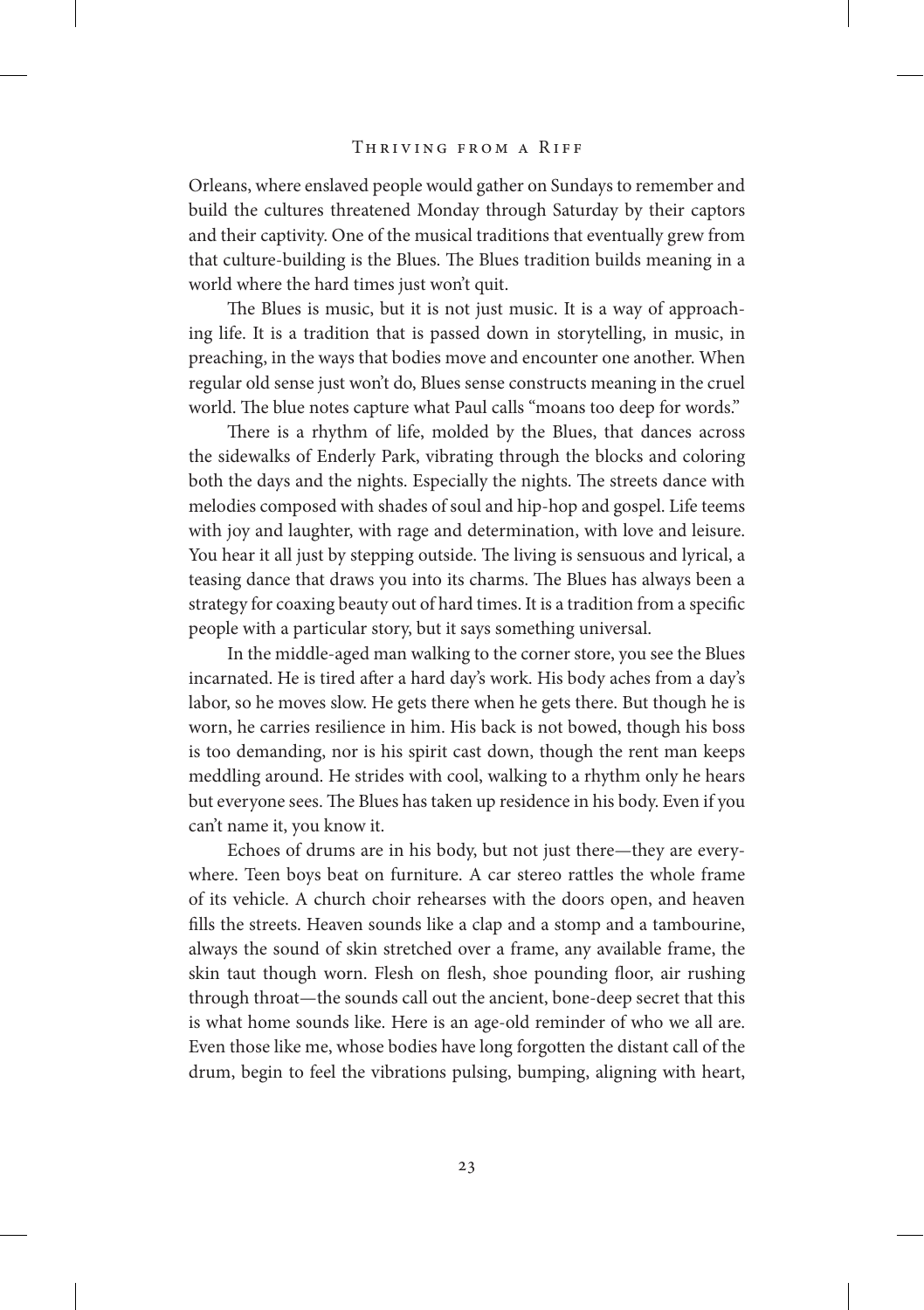Orleans, where enslaved people would gather on Sundays to remember and build the cultures threatened Monday through Saturday by their captors and their captivity. One of the musical traditions that eventually grew from that culture-building is the Blues. The Blues tradition builds meaning in a world where the hard times just won't quit.

The Blues is music, but it is not just music. It is a way of approaching life. It is a tradition that is passed down in storytelling, in music, in preaching, in the ways that bodies move and encounter one another. When regular old sense just won't do, Blues sense constructs meaning in the cruel world. The blue notes capture what Paul calls "moans too deep for words."

There is a rhythm of life, molded by the Blues, that dances across the sidewalks of Enderly Park, vibrating through the blocks and coloring both the days and the nights. Especially the nights. The streets dance with melodies composed with shades of soul and hip-hop and gospel. Life teems with joy and laughter, with rage and determination, with love and leisure. You hear it all just by stepping outside. The living is sensuous and lyrical, a teasing dance that draws you into its charms. The Blues has always been a strategy for coaxing beauty out of hard times. It is a tradition from a specific people with a particular story, but it says something universal.

In the middle-aged man walking to the corner store, you see the Blues incarnated. He is tired after a hard day's work. His body aches from a day's labor, so he moves slow. He gets there when he gets there. But though he is worn, he carries resilience in him. His back is not bowed, though his boss is too demanding, nor is his spirit cast down, though the rent man keeps meddling around. He strides with cool, walking to a rhythm only he hears but everyone sees. The Blues has taken up residence in his body. Even if you can't name it, you know it.

Echoes of drums are in his body, but not just there—they are everywhere. Teen boys beat on furniture. A car stereo rattles the whole frame of its vehicle. A church choir rehearses with the doors open, and heaven fills the streets. Heaven sounds like a clap and a stomp and a tambourine, always the sound of skin stretched over a frame, any available frame, the skin taut though worn. Flesh on flesh, shoe pounding floor, air rushing through throat—the sounds call out the ancient, bone-deep secret that this is what home sounds like. Here is an age-old reminder of who we all are. Even those like me, whose bodies have long forgotten the distant call of the drum, begin to feel the vibrations pulsing, bumping, aligning with heart,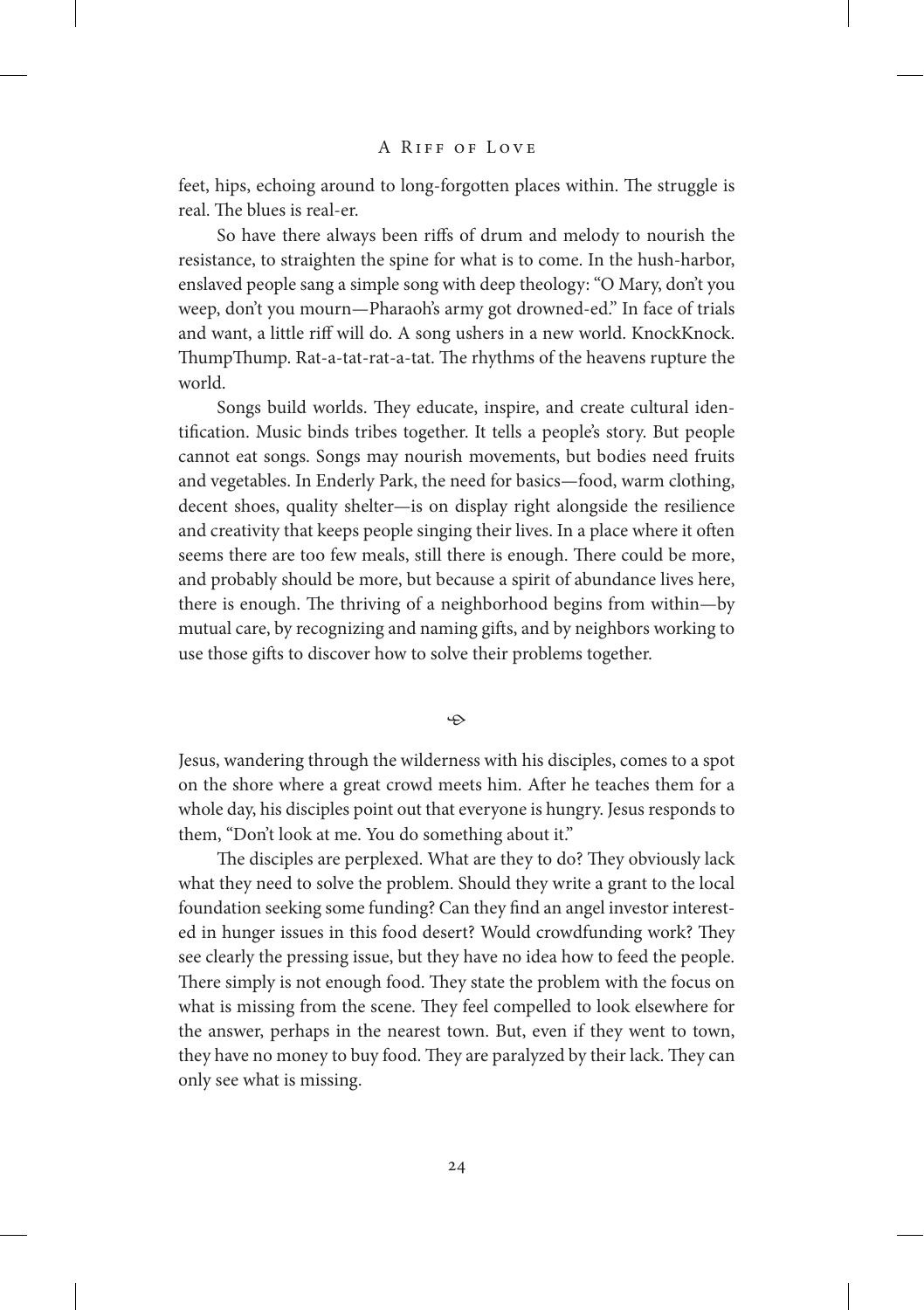feet, hips, echoing around to long-forgotten places within. The struggle is real. The blues is real-er.

So have there always been riffs of drum and melody to nourish the resistance, to straighten the spine for what is to come. In the hush-harbor, enslaved people sang a simple song with deep theology: "O Mary, don't you weep, don't you mourn—Pharaoh's army got drowned-ed." In face of trials and want, a little riff will do. A song ushers in a new world. KnockKnock. ThumpThump. Rat-a-tat-rat-a-tat. The rhythms of the heavens rupture the world.

Songs build worlds. They educate, inspire, and create cultural identification. Music binds tribes together. It tells a people's story. But people cannot eat songs. Songs may nourish movements, but bodies need fruits and vegetables. In Enderly Park, the need for basics—food, warm clothing, decent shoes, quality shelter—is on display right alongside the resilience and creativity that keeps people singing their lives. In a place where it often seems there are too few meals, still there is enough. There could be more, and probably should be more, but because a spirit of abundance lives here, there is enough. The thriving of a neighborhood begins from within—by mutual care, by recognizing and naming gifts, and by neighbors working to use those gifts to discover how to solve their problems together.

 $\leftrightarrow$ 

Jesus, wandering through the wilderness with his disciples, comes to a spot on the shore where a great crowd meets him. After he teaches them for a whole day, his disciples point out that everyone is hungry. Jesus responds to them, "Don't look at me. You do something about it."

The disciples are perplexed. What are they to do? They obviously lack what they need to solve the problem. Should they write a grant to the local foundation seeking some funding? Can they find an angel investor interested in hunger issues in this food desert? Would crowdfunding work? They see clearly the pressing issue, but they have no idea how to feed the people. There simply is not enough food. They state the problem with the focus on what is missing from the scene. They feel compelled to look elsewhere for the answer, perhaps in the nearest town. But, even if they went to town, they have no money to buy food. They are paralyzed by their lack. They can only see what is missing.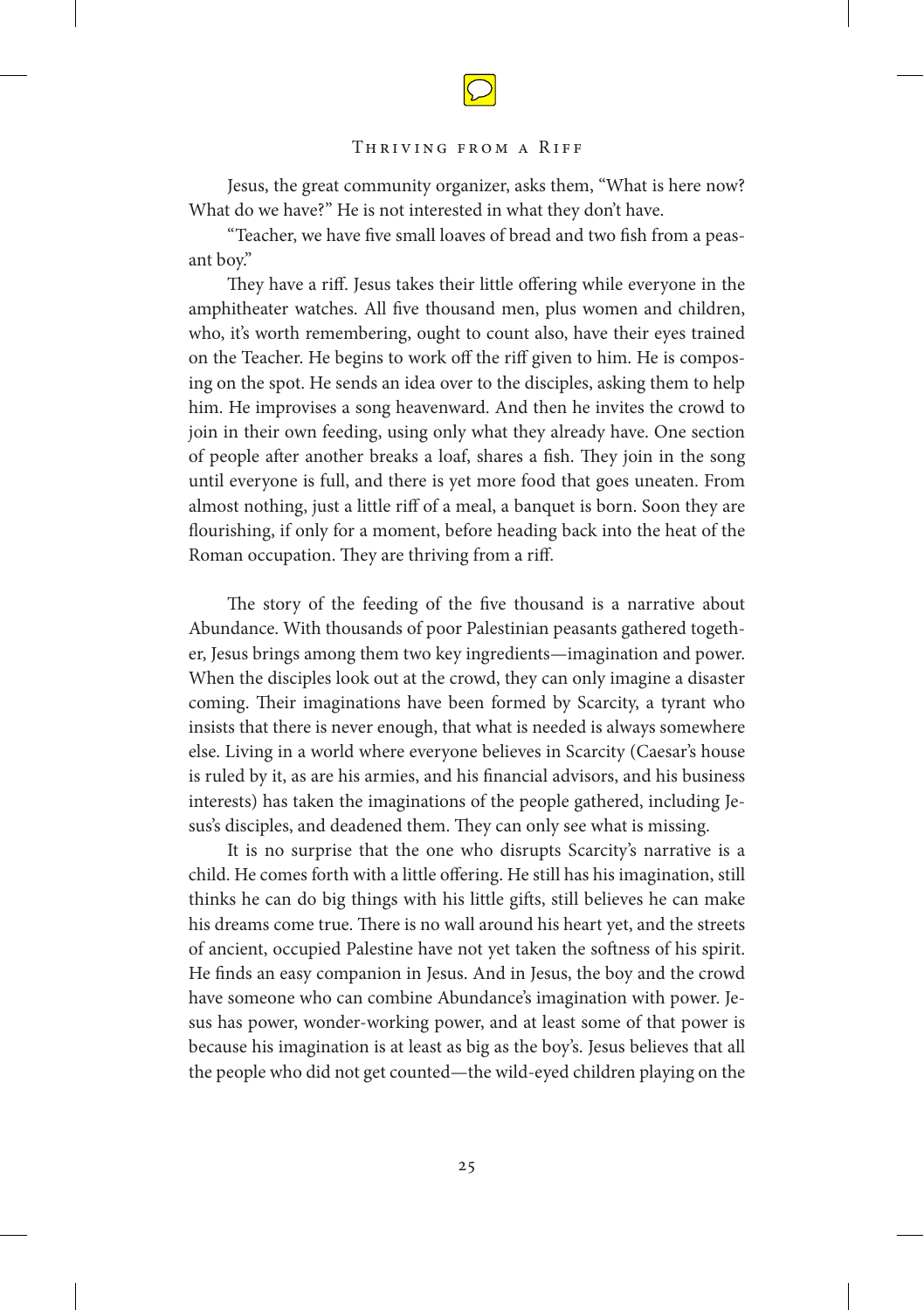Jesus, the great community organizer, asks them, "What is here now? What do we have?" He is not interested in what they don't have.

"Teacher, we have five small loaves of bread and two fish from a peasant boy."

They have a riff. Jesus takes their little offering while everyone in the amphitheater watches. All five thousand men, plus women and children, who, it's worth remembering, ought to count also, have their eyes trained on the Teacher. He begins to work off the riff given to him. He is composing on the spot. He sends an idea over to the disciples, asking them to help him. He improvises a song heavenward. And then he invites the crowd to join in their own feeding, using only what they already have. One section of people after another breaks a loaf, shares a fish. They join in the song until everyone is full, and there is yet more food that goes uneaten. From almost nothing, just a little riff of a meal, a banquet is born. Soon they are flourishing, if only for a moment, before heading back into the heat of the Roman occupation. They are thriving from a riff.

The story of the feeding of the five thousand is a narrative about Abundance. With thousands of poor Palestinian peasants gathered together, Jesus brings among them two key ingredients—imagination and power. When the disciples look out at the crowd, they can only imagine a disaster coming. Their imaginations have been formed by Scarcity, a tyrant who insists that there is never enough, that what is needed is always somewhere else. Living in a world where everyone believes in Scarcity (Caesar's house is ruled by it, as are his armies, and his financial advisors, and his business interests) has taken the imaginations of the people gathered, including Jesus's disciples, and deadened them. They can only see what is missing.

It is no surprise that the one who disrupts Scarcity's narrative is a child. He comes forth with a little offering. He still has his imagination, still thinks he can do big things with his little gifts, still believes he can make his dreams come true. There is no wall around his heart yet, and the streets of ancient, occupied Palestine have not yet taken the softness of his spirit. He finds an easy companion in Jesus. And in Jesus, the boy and the crowd have someone who can combine Abundance's imagination with power. Jesus has power, wonder-working power, and at least some of that power is because his imagination is at least as big as the boy's. Jesus believes that all the people who did not get counted—the wild-eyed children playing on the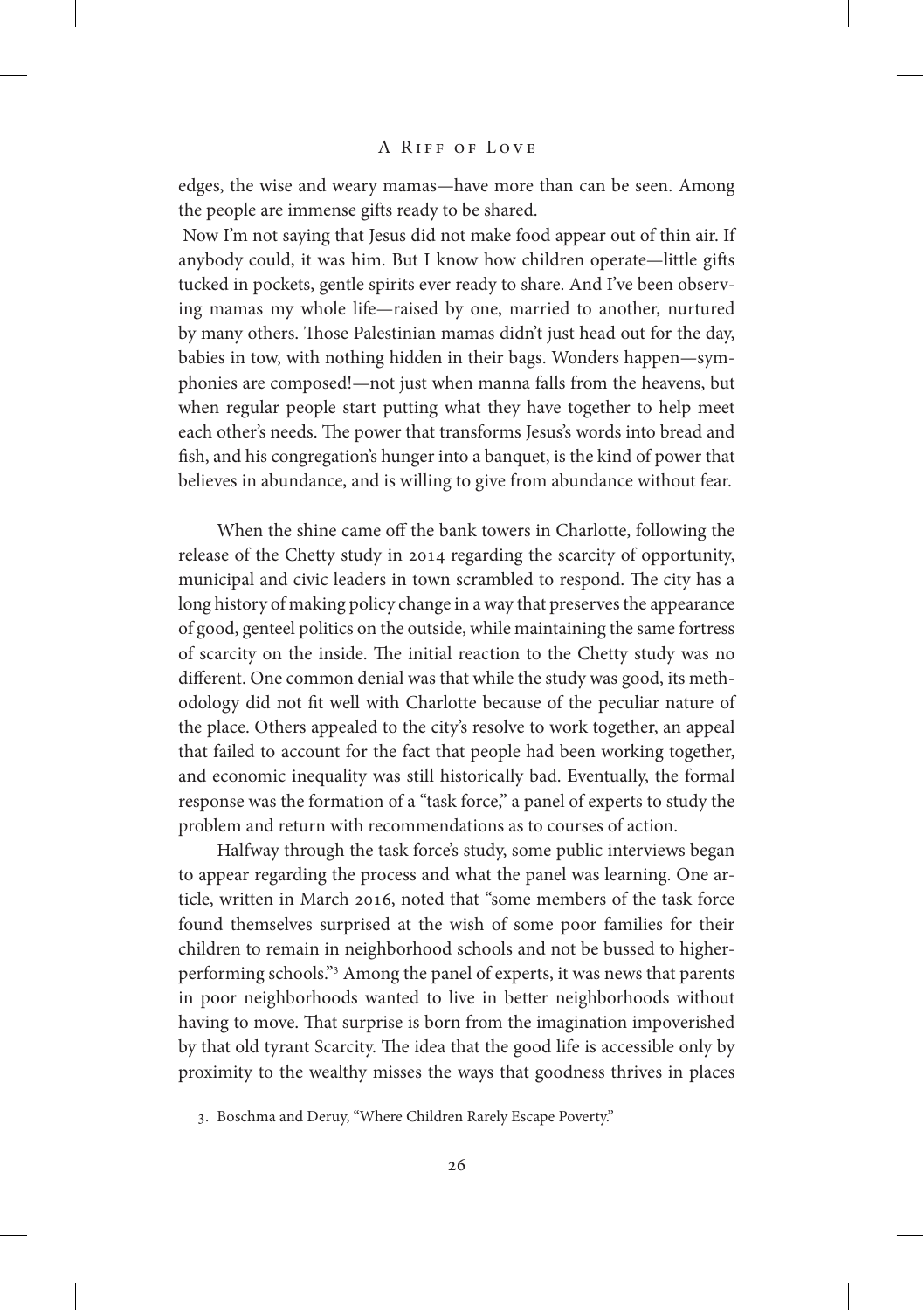edges, the wise and weary mamas—have more than can be seen. Among the people are immense gifts ready to be shared.

 Now I'm not saying that Jesus did not make food appear out of thin air. If anybody could, it was him. But I know how children operate—little gifts tucked in pockets, gentle spirits ever ready to share. And I've been observing mamas my whole life—raised by one, married to another, nurtured by many others. Those Palestinian mamas didn't just head out for the day, babies in tow, with nothing hidden in their bags. Wonders happen—symphonies are composed!—not just when manna falls from the heavens, but when regular people start putting what they have together to help meet each other's needs. The power that transforms Jesus's words into bread and fish, and his congregation's hunger into a banquet, is the kind of power that believes in abundance, and is willing to give from abundance without fear.

When the shine came off the bank towers in Charlotte, following the release of the Chetty study in 2014 regarding the scarcity of opportunity, municipal and civic leaders in town scrambled to respond. The city has a long history of making policy change in a way that preserves the appearance of good, genteel politics on the outside, while maintaining the same fortress of scarcity on the inside. The initial reaction to the Chetty study was no different. One common denial was that while the study was good, its methodology did not fit well with Charlotte because of the peculiar nature of the place. Others appealed to the city's resolve to work together, an appeal that failed to account for the fact that people had been working together, and economic inequality was still historically bad. Eventually, the formal response was the formation of a "task force," a panel of experts to study the problem and return with recommendations as to courses of action.

Halfway through the task force's study, some public interviews began to appear regarding the process and what the panel was learning. One article, written in March 2016, noted that "some members of the task force found themselves surprised at the wish of some poor families for their children to remain in neighborhood schools and not be bussed to higherperforming schools."3 Among the panel of experts, it was news that parents in poor neighborhoods wanted to live in better neighborhoods without having to move. That surprise is born from the imagination impoverished by that old tyrant Scarcity. The idea that the good life is accessible only by proximity to the wealthy misses the ways that goodness thrives in places

<sup>3.</sup> Boschma and Deruy, "Where Children Rarely Escape Poverty."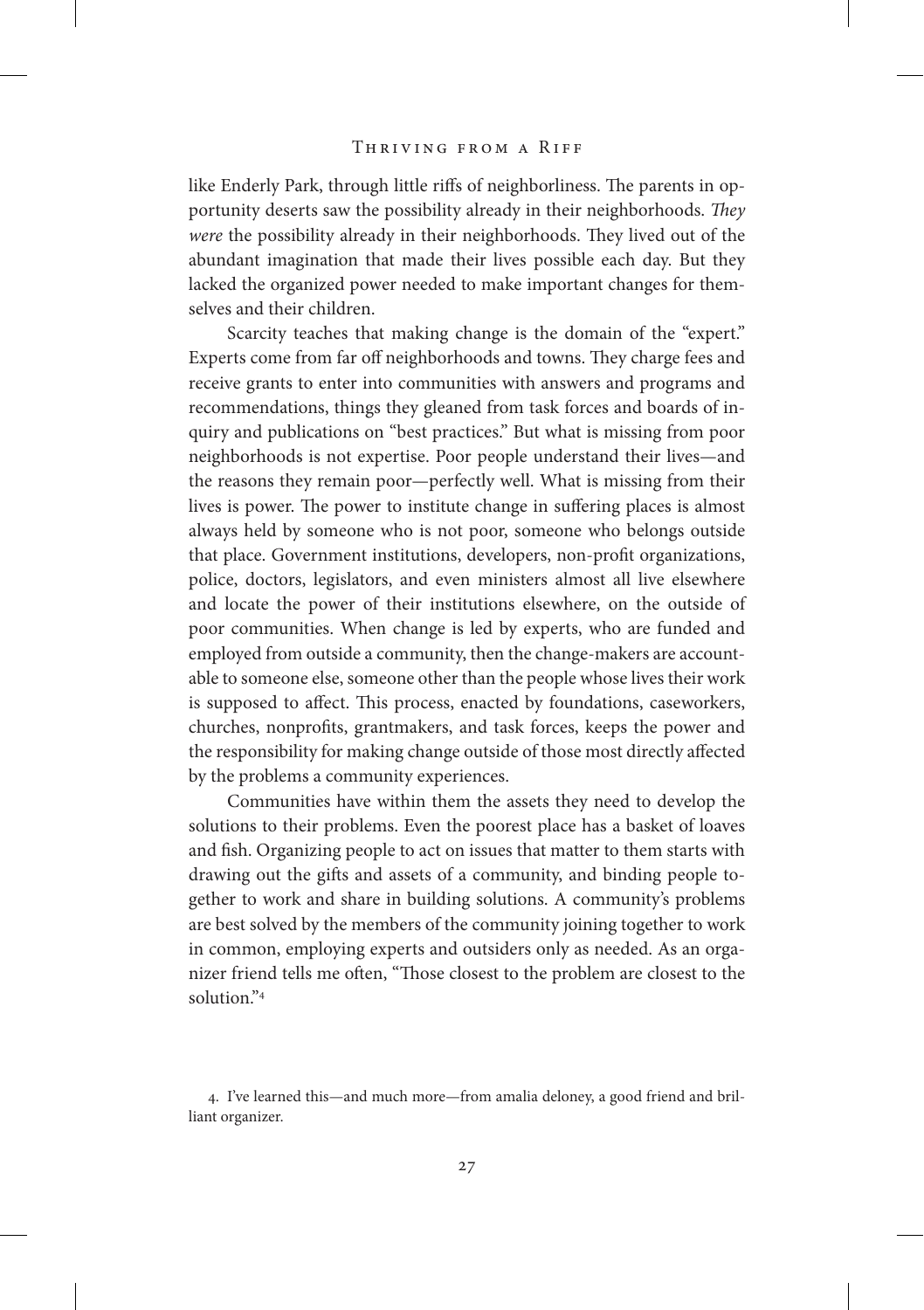like Enderly Park, through little riffs of neighborliness. The parents in opportunity deserts saw the possibility already in their neighborhoods. *They were* the possibility already in their neighborhoods. They lived out of the abundant imagination that made their lives possible each day. But they lacked the organized power needed to make important changes for themselves and their children.

Scarcity teaches that making change is the domain of the "expert." Experts come from far off neighborhoods and towns. They charge fees and receive grants to enter into communities with answers and programs and recommendations, things they gleaned from task forces and boards of inquiry and publications on "best practices." But what is missing from poor neighborhoods is not expertise. Poor people understand their lives—and the reasons they remain poor—perfectly well. What is missing from their lives is power. The power to institute change in suffering places is almost always held by someone who is not poor, someone who belongs outside that place. Government institutions, developers, non-profit organizations, police, doctors, legislators, and even ministers almost all live elsewhere and locate the power of their institutions elsewhere, on the outside of poor communities. When change is led by experts, who are funded and employed from outside a community, then the change-makers are accountable to someone else, someone other than the people whose lives their work is supposed to affect. This process, enacted by foundations, caseworkers, churches, nonprofits, grantmakers, and task forces, keeps the power and the responsibility for making change outside of those most directly affected by the problems a community experiences.

Communities have within them the assets they need to develop the solutions to their problems. Even the poorest place has a basket of loaves and fish. Organizing people to act on issues that matter to them starts with drawing out the gifts and assets of a community, and binding people together to work and share in building solutions. A community's problems are best solved by the members of the community joining together to work in common, employing experts and outsiders only as needed. As an organizer friend tells me often, "Those closest to the problem are closest to the solution."4

<sup>4.</sup> I've learned this—and much more—from amalia deloney, a good friend and brilliant organizer.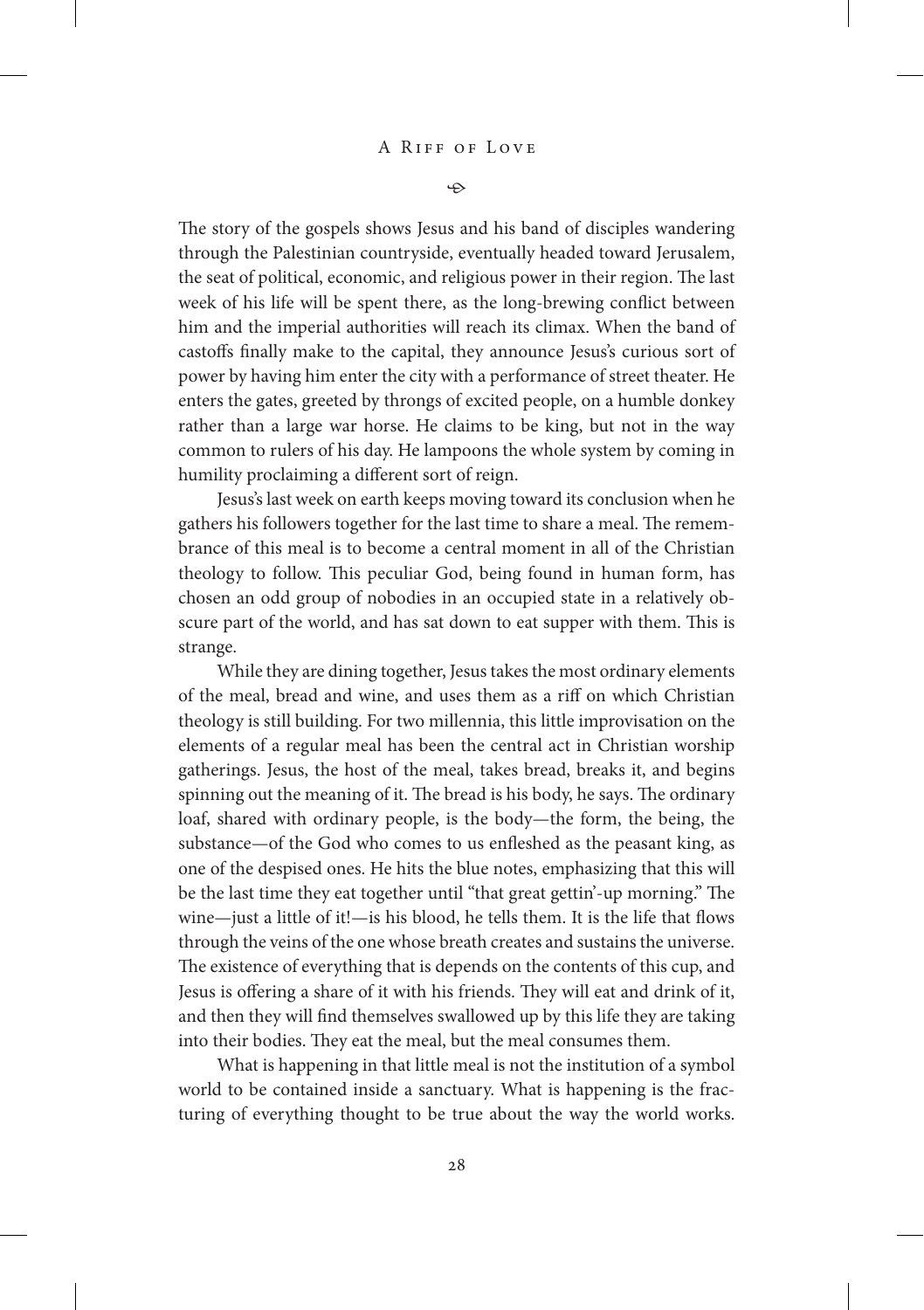•

The story of the gospels shows Jesus and his band of disciples wandering through the Palestinian countryside, eventually headed toward Jerusalem, the seat of political, economic, and religious power in their region. The last week of his life will be spent there, as the long-brewing conflict between him and the imperial authorities will reach its climax. When the band of castoffs finally make to the capital, they announce Jesus's curious sort of power by having him enter the city with a performance of street theater. He enters the gates, greeted by throngs of excited people, on a humble donkey rather than a large war horse. He claims to be king, but not in the way common to rulers of his day. He lampoons the whole system by coming in humility proclaiming a different sort of reign.

Jesus's last week on earth keeps moving toward its conclusion when he gathers his followers together for the last time to share a meal. The remembrance of this meal is to become a central moment in all of the Christian theology to follow. This peculiar God, being found in human form, has chosen an odd group of nobodies in an occupied state in a relatively obscure part of the world, and has sat down to eat supper with them. This is strange.

While they are dining together, Jesus takes the most ordinary elements of the meal, bread and wine, and uses them as a riff on which Christian theology is still building. For two millennia, this little improvisation on the elements of a regular meal has been the central act in Christian worship gatherings. Jesus, the host of the meal, takes bread, breaks it, and begins spinning out the meaning of it. The bread is his body, he says. The ordinary loaf, shared with ordinary people, is the body—the form, the being, the substance—of the God who comes to us enfleshed as the peasant king, as one of the despised ones. He hits the blue notes, emphasizing that this will be the last time they eat together until "that great gettin'-up morning." The wine—just a little of it!—is his blood, he tells them. It is the life that flows through the veins of the one whose breath creates and sustains the universe. The existence of everything that is depends on the contents of this cup, and Jesus is offering a share of it with his friends. They will eat and drink of it, and then they will find themselves swallowed up by this life they are taking into their bodies. They eat the meal, but the meal consumes them.

What is happening in that little meal is not the institution of a symbol world to be contained inside a sanctuary. What is happening is the fracturing of everything thought to be true about the way the world works.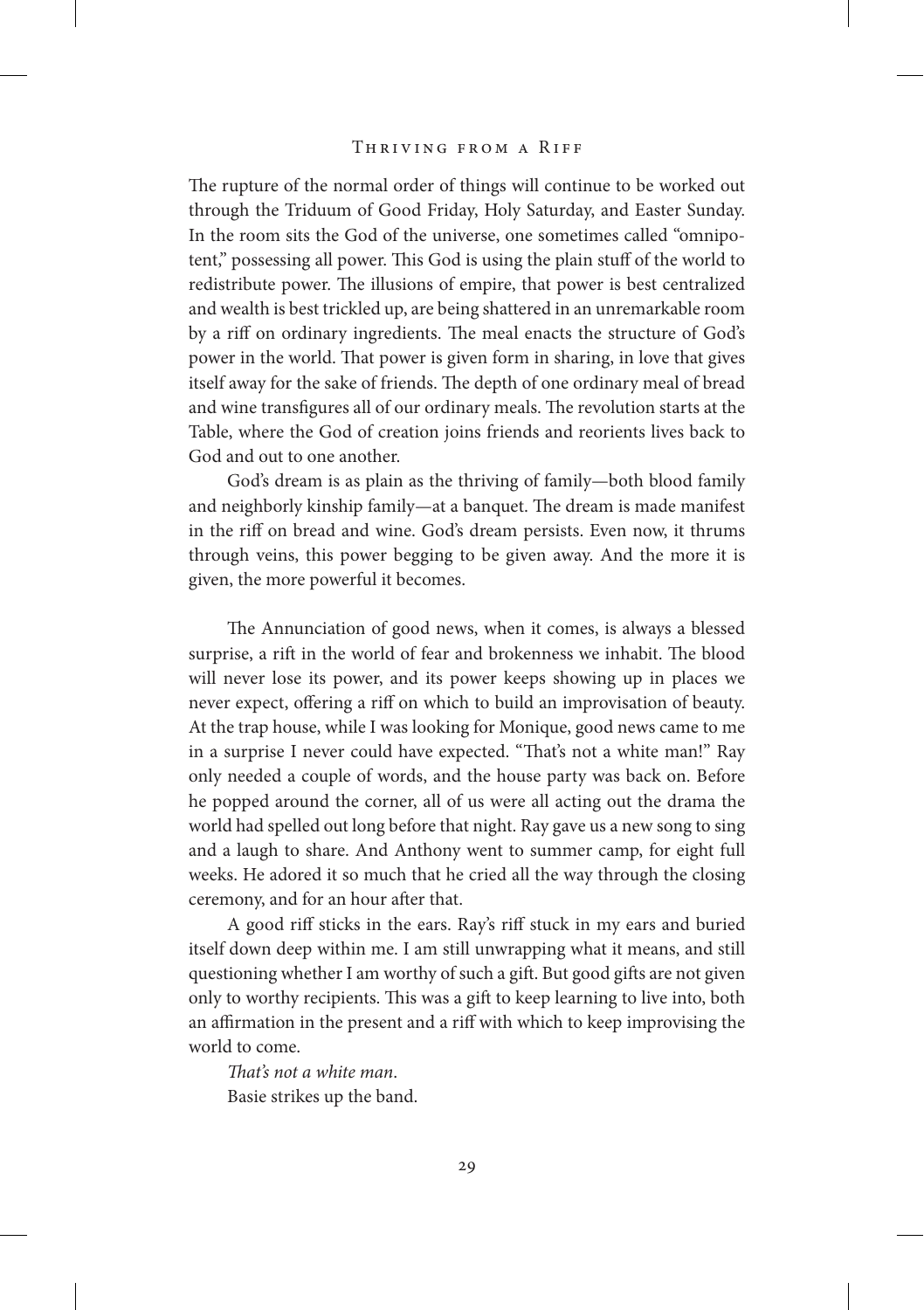The rupture of the normal order of things will continue to be worked out through the Triduum of Good Friday, Holy Saturday, and Easter Sunday. In the room sits the God of the universe, one sometimes called "omnipotent," possessing all power. This God is using the plain stuff of the world to redistribute power. The illusions of empire, that power is best centralized and wealth is best trickled up, are being shattered in an unremarkable room by a riff on ordinary ingredients. The meal enacts the structure of God's power in the world. That power is given form in sharing, in love that gives itself away for the sake of friends. The depth of one ordinary meal of bread and wine transfigures all of our ordinary meals. The revolution starts at the Table, where the God of creation joins friends and reorients lives back to God and out to one another.

God's dream is as plain as the thriving of family—both blood family and neighborly kinship family—at a banquet. The dream is made manifest in the riff on bread and wine. God's dream persists. Even now, it thrums through veins, this power begging to be given away. And the more it is given, the more powerful it becomes.

The Annunciation of good news, when it comes, is always a blessed surprise, a rift in the world of fear and brokenness we inhabit. The blood will never lose its power, and its power keeps showing up in places we never expect, offering a riff on which to build an improvisation of beauty. At the trap house, while I was looking for Monique, good news came to me in a surprise I never could have expected. "That's not a white man!" Ray only needed a couple of words, and the house party was back on. Before he popped around the corner, all of us were all acting out the drama the world had spelled out long before that night. Ray gave us a new song to sing and a laugh to share. And Anthony went to summer camp, for eight full weeks. He adored it so much that he cried all the way through the closing ceremony, and for an hour after that.

A good riff sticks in the ears. Ray's riff stuck in my ears and buried itself down deep within me. I am still unwrapping what it means, and still questioning whether I am worthy of such a gift. But good gifts are not given only to worthy recipients. This was a gift to keep learning to live into, both an affirmation in the present and a riff with which to keep improvising the world to come.

*That's not a white man*. Basie strikes up the band.